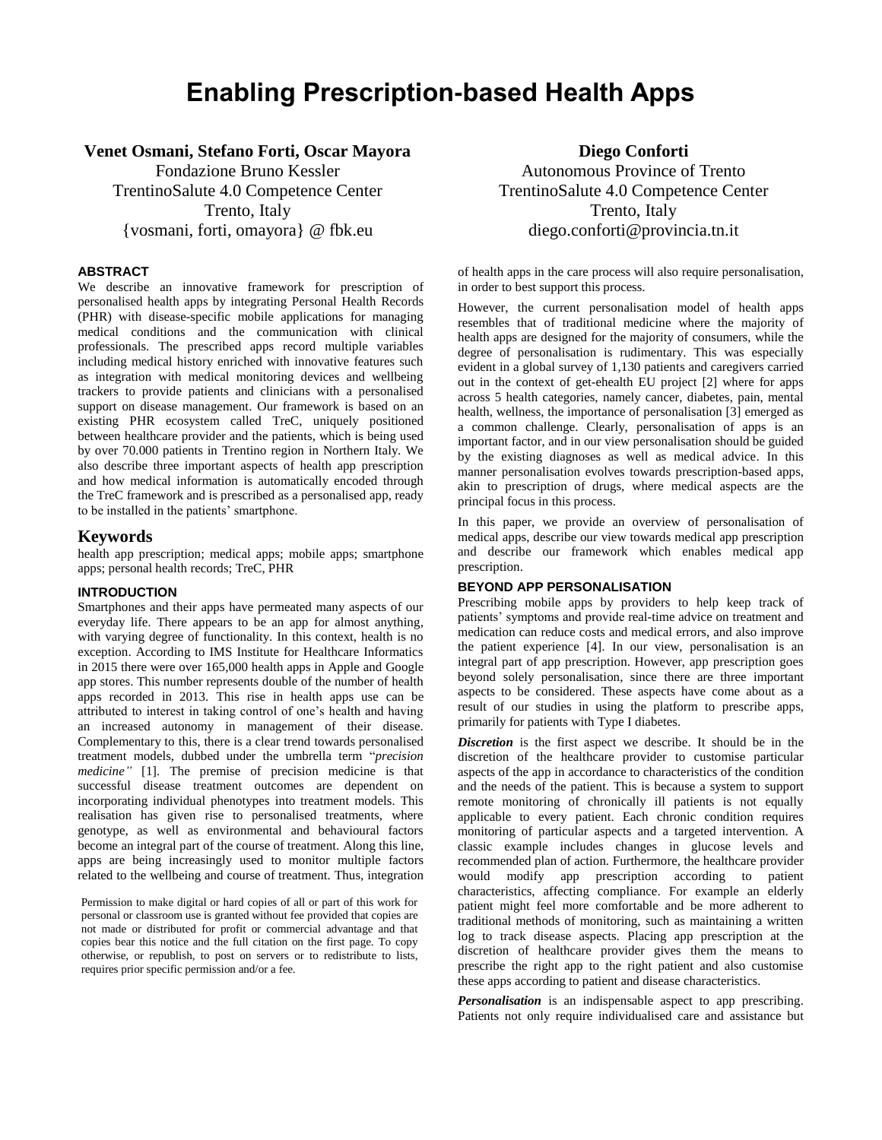# **Enabling Prescription-based Health Apps**

# **Venet Osmani, Stefano Forti, Oscar Mayora**

Fondazione Bruno Kessler TrentinoSalute 4.0 Competence Center Trento, Italy {vosmani, forti, omayora} @ fbk.eu

### **ABSTRACT**

We describe an innovative framework for prescription of personalised health apps by integrating Personal Health Records (PHR) with disease-specific mobile applications for managing medical conditions and the communication with clinical professionals. The prescribed apps record multiple variables including medical history enriched with innovative features such as integration with medical monitoring devices and wellbeing trackers to provide patients and clinicians with a personalised support on disease management. Our framework is based on an existing PHR ecosystem called TreC, uniquely positioned between healthcare provider and the patients, which is being used by over 70.000 patients in Trentino region in Northern Italy. We also describe three important aspects of health app prescription and how medical information is automatically encoded through the TreC framework and is prescribed as a personalised app, ready to be installed in the patients' smartphone.

## **Keywords**

health app prescription; medical apps; mobile apps; smartphone apps; personal health records; TreC, PHR

#### **INTRODUCTION**

Smartphones and their apps have permeated many aspects of our everyday life. There appears to be an app for almost anything, with varying degree of functionality. In this context, health is no exception. According to IMS Institute for Healthcare Informatics in 2015 there were over 165,000 health apps in Apple and Google app stores. This number represents double of the number of health apps recorded in 2013. This rise in health apps use can be attributed to interest in taking control of one's health and having an increased autonomy in management of their disease. Complementary to this, there is a clear trend towards personalised treatment models, dubbed under the umbrella term "*precision medicine"* [1]. The premise of precision medicine is that successful disease treatment outcomes are dependent on incorporating individual phenotypes into treatment models. This realisation has given rise to personalised treatments, where genotype, as well as environmental and behavioural factors become an integral part of the course of treatment. Along this line, apps are being increasingly used to monitor multiple factors related to the wellbeing and course of treatment. Thus, integration

Permission to make digital or hard copies of all or part of this work for personal or classroom use is granted without fee provided that copies are not made or distributed for profit or commercial advantage and that copies bear this notice and the full citation on the first page. To copy otherwise, or republish, to post on servers or to redistribute to lists, requires prior specific permission and/or a fee.

**Diego Conforti**  Autonomous Province of Trento TrentinoSalute 4.0 Competence Center Trento, Italy diego.conforti@provincia.tn.it

of health apps in the care process will also require personalisation, in order to best support this process.

However, the current personalisation model of health apps resembles that of traditional medicine where the majority of health apps are designed for the majority of consumers, while the degree of personalisation is rudimentary. This was especially evident in a global survey of 1,130 patients and caregivers carried out in the context of get-ehealth EU project [2] where for apps across 5 health categories, namely cancer, diabetes, pain, mental health, wellness, the importance of personalisation [3] emerged as a common challenge. Clearly, personalisation of apps is an important factor, and in our view personalisation should be guided by the existing diagnoses as well as medical advice. In this manner personalisation evolves towards prescription-based apps, akin to prescription of drugs, where medical aspects are the principal focus in this process.

In this paper, we provide an overview of personalisation of medical apps, describe our view towards medical app prescription and describe our framework which enables medical app prescription.

#### <span id="page-0-0"></span>**BEYOND APP PERSONALISATION**

Prescribing mobile apps by providers to help keep track of patients' symptoms and provide real-time advice on treatment and medication can reduce costs and medical errors, and also improve the patient experience [4]. In our view, personalisation is an integral part of app prescription. However, app prescription goes beyond solely personalisation, since there are three important aspects to be considered. These aspects have come about as a result of our studies in using the platform to prescribe apps, primarily for patients with Type I diabetes.

*Discretion* is the first aspect we describe. It should be in the discretion of the healthcare provider to customise particular aspects of the app in accordance to characteristics of the condition and the needs of the patient. This is because a system to support remote monitoring of chronically ill patients is not equally applicable to every patient. Each chronic condition requires monitoring of particular aspects and a targeted intervention. A classic example includes changes in glucose levels and recommended plan of action. Furthermore, the healthcare provider would modify app prescription according to patient characteristics, affecting compliance. For example an elderly patient might feel more comfortable and be more adherent to traditional methods of monitoring, such as maintaining a written log to track disease aspects. Placing app prescription at the discretion of healthcare provider gives them the means to prescribe the right app to the right patient and also customise these apps according to patient and disease characteristics.

*Personalisation* is an indispensable aspect to app prescribing. Patients not only require individualised care and assistance but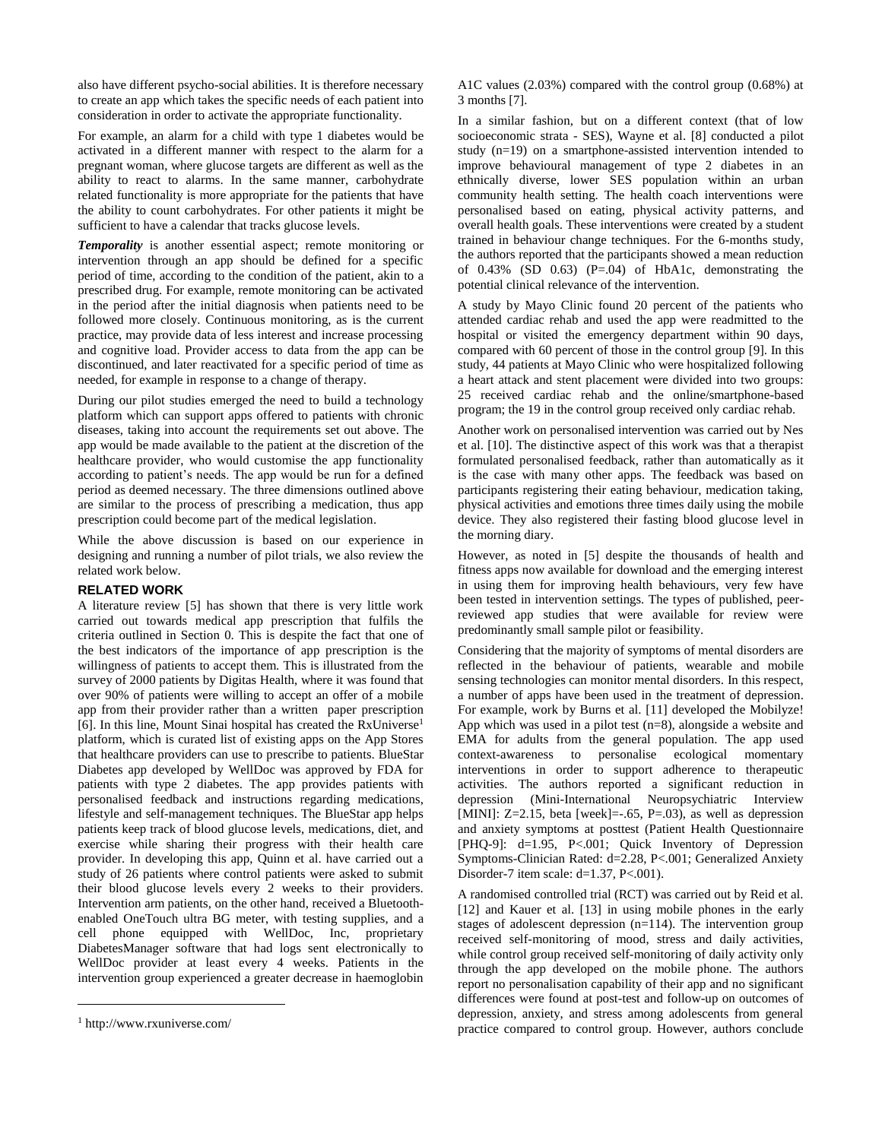also have different psycho-social abilities. It is therefore necessary to create an app which takes the specific needs of each patient into consideration in order to activate the appropriate functionality.

For example, an alarm for a child with type 1 diabetes would be activated in a different manner with respect to the alarm for a pregnant woman, where glucose targets are different as well as the ability to react to alarms. In the same manner, carbohydrate related functionality is more appropriate for the patients that have the ability to count carbohydrates. For other patients it might be sufficient to have a calendar that tracks glucose levels.

*Temporality* is another essential aspect; remote monitoring or intervention through an app should be defined for a specific period of time, according to the condition of the patient, akin to a prescribed drug. For example, remote monitoring can be activated in the period after the initial diagnosis when patients need to be followed more closely. Continuous monitoring, as is the current practice, may provide data of less interest and increase processing and cognitive load. Provider access to data from the app can be discontinued, and later reactivated for a specific period of time as needed, for example in response to a change of therapy.

During our pilot studies emerged the need to build a technology platform which can support apps offered to patients with chronic diseases, taking into account the requirements set out above. The app would be made available to the patient at the discretion of the healthcare provider, who would customise the app functionality according to patient's needs. The app would be run for a defined period as deemed necessary. The three dimensions outlined above are similar to the process of prescribing a medication, thus app prescription could become part of the medical legislation.

While the above discussion is based on our experience in designing and running a number of pilot trials, we also review the related work below.

#### **RELATED WORK**

A literature review [5] has shown that there is very little work carried out towards medical app prescription that fulfils the criteria outlined in Section [0.](#page-0-0) This is despite the fact that one of the best indicators of the importance of app prescription is the willingness of patients to accept them. This is illustrated from the survey of 2000 patients by Digitas Health, where it was found that over 90% of patients were willing to accept an offer of a mobile app from their provider rather than a written paper prescription [6]. In this line, Mount Sinai hospital has created the  $RxUniverse<sup>1</sup>$ platform, which is curated list of existing apps on the App Stores that healthcare providers can use to prescribe to patients. BlueStar Diabetes app developed by WellDoc was approved by FDA for patients with type 2 diabetes. The app provides patients with personalised feedback and instructions regarding medications, lifestyle and self-management techniques. The BlueStar app helps patients keep track of blood glucose levels, medications, diet, and exercise while sharing their progress with their health care provider. In developing this app, Quinn et al. have carried out a study of 26 patients where control patients were asked to submit their blood glucose levels every 2 weeks to their providers. Intervention arm patients, on the other hand, received a Bluetoothenabled OneTouch ultra BG meter, with testing supplies, and a cell phone equipped with WellDoc, Inc, proprietary DiabetesManager software that had logs sent electronically to WellDoc provider at least every 4 weeks. Patients in the intervention group experienced a greater decrease in haemoglobin

 $\overline{a}$ 

A1C values (2.03%) compared with the control group (0.68%) at 3 months [7].

In a similar fashion, but on a different context (that of low socioeconomic strata - SES), Wayne et al. [8] conducted a pilot study (n=19) on a smartphone-assisted intervention intended to improve behavioural management of type 2 diabetes in an ethnically diverse, lower SES population within an urban community health setting. The health coach interventions were personalised based on eating, physical activity patterns, and overall health goals. These interventions were created by a student trained in behaviour change techniques. For the 6-months study, the authors reported that the participants showed a mean reduction of  $0.43\%$  (SD  $0.63$ ) (P=.04) of HbA1c, demonstrating the potential clinical relevance of the intervention.

A study by Mayo Clinic found 20 percent of the patients who attended cardiac rehab and used the app were readmitted to the hospital or visited the emergency department within 90 days, compared with 60 percent of those in the control group [9]. In this study, 44 patients at Mayo Clinic who were hospitalized following a heart attack and stent placement were divided into two groups: 25 received cardiac rehab and the online/smartphone-based program; the 19 in the control group received only cardiac rehab.

Another work on personalised intervention was carried out by Nes et al. [10]. The distinctive aspect of this work was that a therapist formulated personalised feedback, rather than automatically as it is the case with many other apps. The feedback was based on participants registering their eating behaviour, medication taking, physical activities and emotions three times daily using the mobile device. They also registered their fasting blood glucose level in the morning diary.

However, as noted in [5] despite the thousands of health and fitness apps now available for download and the emerging interest in using them for improving health behaviours, very few have been tested in intervention settings. The types of published, peerreviewed app studies that were available for review were predominantly small sample pilot or feasibility.

Considering that the majority of symptoms of mental disorders are reflected in the behaviour of patients, wearable and mobile sensing technologies can monitor mental disorders. In this respect, a number of apps have been used in the treatment of depression. For example, work by Burns et al. [11] developed the Mobilyze! App which was used in a pilot test (n=8), alongside a website and EMA for adults from the general population. The app used context-awareness to personalise ecological momentary interventions in order to support adherence to therapeutic activities. The authors reported a significant reduction in depression (Mini-International Neuropsychiatric Interview [MINI]:  $Z=2.15$ , beta [week] = -.65, P = .03), as well as depression and anxiety symptoms at posttest (Patient Health Questionnaire [PHQ-9]: d=1.95, P<.001; Quick Inventory of Depression Symptoms-Clinician Rated: d=2.28, P<.001; Generalized Anxiety Disorder-7 item scale: d=1.37, P<.001).

A randomised controlled trial (RCT) was carried out by Reid et al. [12] and Kauer et al. [13] in using mobile phones in the early stages of adolescent depression (n=114). The intervention group received self-monitoring of mood, stress and daily activities, while control group received self-monitoring of daily activity only through the app developed on the mobile phone. The authors report no personalisation capability of their app and no significant differences were found at post-test and follow-up on outcomes of depression, anxiety, and stress among adolescents from general practice compared to control group. However, authors conclude

<sup>1</sup> http://www.rxuniverse.com/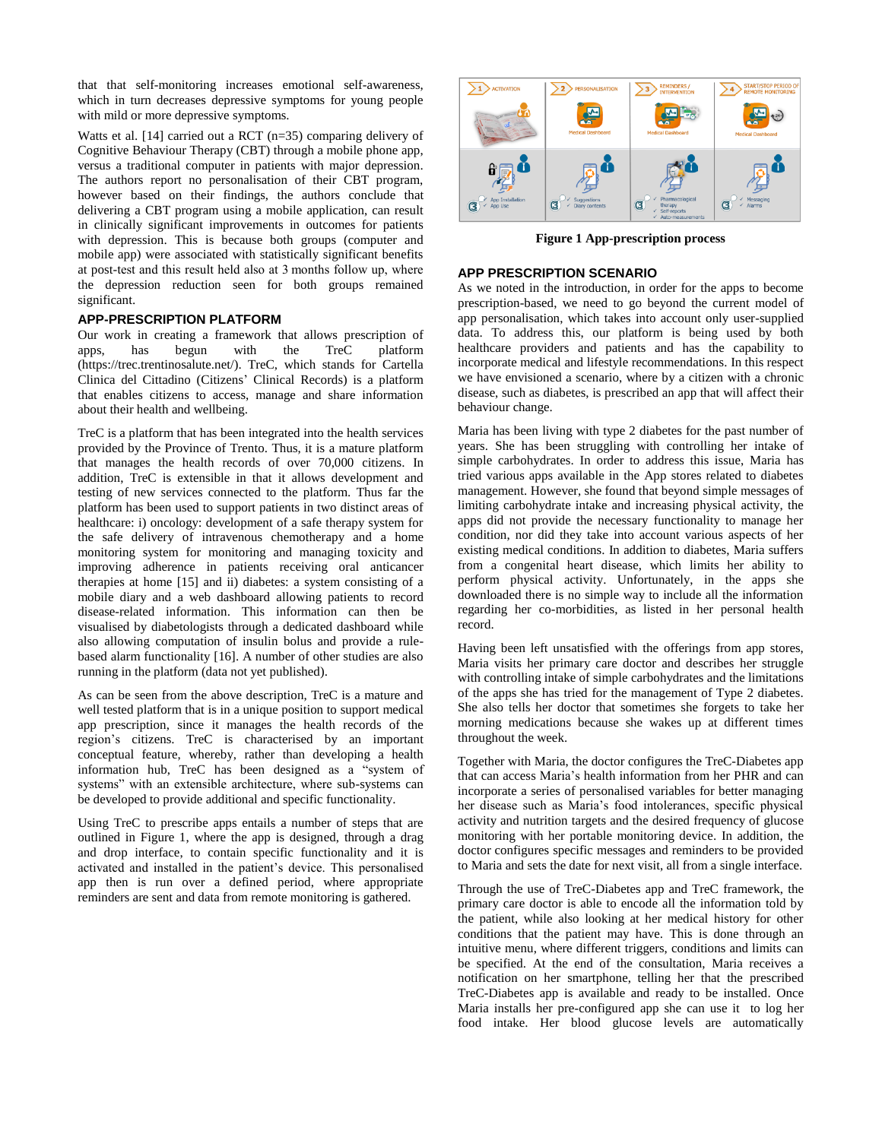that that self-monitoring increases emotional self-awareness, which in turn decreases depressive symptoms for young people with mild or more depressive symptoms.

Watts et al. [14] carried out a RCT (n=35) comparing delivery of Cognitive Behaviour Therapy (CBT) through a mobile phone app, versus a traditional computer in patients with major depression. The authors report no personalisation of their CBT program, however based on their findings, the authors conclude that delivering a CBT program using a mobile application, can result in clinically significant improvements in outcomes for patients with depression. This is because both groups (computer and mobile app) were associated with statistically significant benefits at post-test and this result held also at 3 months follow up, where the depression reduction seen for both groups remained significant.

## **APP-PRESCRIPTION PLATFORM**

Our work in creating a framework that allows prescription of apps, has begun with the TreC platform (https://trec.trentinosalute.net/). TreC, which stands for Cartella Clinica del Cittadino (Citizens' Clinical Records) is a platform that enables citizens to access, manage and share information about their health and wellbeing.

TreC is a platform that has been integrated into the health services provided by the Province of Trento. Thus, it is a mature platform that manages the health records of over 70,000 citizens. In addition, TreC is extensible in that it allows development and testing of new services connected to the platform. Thus far the platform has been used to support patients in two distinct areas of healthcare: i) oncology: development of a safe therapy system for the safe delivery of intravenous chemotherapy and a home monitoring system for monitoring and managing toxicity and improving adherence in patients receiving oral anticancer therapies at home [15] and ii) diabetes: a system consisting of a mobile diary and a web dashboard allowing patients to record disease-related information. This information can then be visualised by diabetologists through a dedicated dashboard while also allowing computation of insulin bolus and provide a rulebased alarm functionality [16]. A number of other studies are also running in the platform (data not yet published).

As can be seen from the above description, TreC is a mature and well tested platform that is in a unique position to support medical app prescription, since it manages the health records of the region's citizens. TreC is characterised by an important conceptual feature, whereby, rather than developing a health information hub, TreC has been designed as a "system of systems" with an extensible architecture, where sub-systems can be developed to provide additional and specific functionality.

Using TreC to prescribe apps entails a number of steps that are outlined in Figure 1, where the app is designed, through a drag and drop interface, to contain specific functionality and it is activated and installed in the patient's device. This personalised app then is run over a defined period, where appropriate reminders are sent and data from remote monitoring is gathered.



**Figure 1 App-prescription process**

#### **APP PRESCRIPTION SCENARIO**

As we noted in the introduction, in order for the apps to become prescription-based, we need to go beyond the current model of app personalisation, which takes into account only user-supplied data. To address this, our platform is being used by both healthcare providers and patients and has the capability to incorporate medical and lifestyle recommendations. In this respect we have envisioned a scenario, where by a citizen with a chronic disease, such as diabetes, is prescribed an app that will affect their behaviour change.

Maria has been living with type 2 diabetes for the past number of years. She has been struggling with controlling her intake of simple carbohydrates. In order to address this issue, Maria has tried various apps available in the App stores related to diabetes management. However, she found that beyond simple messages of limiting carbohydrate intake and increasing physical activity, the apps did not provide the necessary functionality to manage her condition, nor did they take into account various aspects of her existing medical conditions. In addition to diabetes, Maria suffers from a congenital heart disease, which limits her ability to perform physical activity. Unfortunately, in the apps she downloaded there is no simple way to include all the information regarding her co-morbidities, as listed in her personal health record.

Having been left unsatisfied with the offerings from app stores, Maria visits her primary care doctor and describes her struggle with controlling intake of simple carbohydrates and the limitations of the apps she has tried for the management of Type 2 diabetes. She also tells her doctor that sometimes she forgets to take her morning medications because she wakes up at different times throughout the week.

Together with Maria, the doctor configures the TreC-Diabetes app that can access Maria's health information from her PHR and can incorporate a series of personalised variables for better managing her disease such as Maria's food intolerances, specific physical activity and nutrition targets and the desired frequency of glucose monitoring with her portable monitoring device. In addition, the doctor configures specific messages and reminders to be provided to Maria and sets the date for next visit, all from a single interface.

Through the use of TreC-Diabetes app and TreC framework, the primary care doctor is able to encode all the information told by the patient, while also looking at her medical history for other conditions that the patient may have. This is done through an intuitive menu, where different triggers, conditions and limits can be specified. At the end of the consultation, Maria receives a notification on her smartphone, telling her that the prescribed TreC-Diabetes app is available and ready to be installed. Once Maria installs her pre-configured app she can use it to log her food intake. Her blood glucose levels are automatically